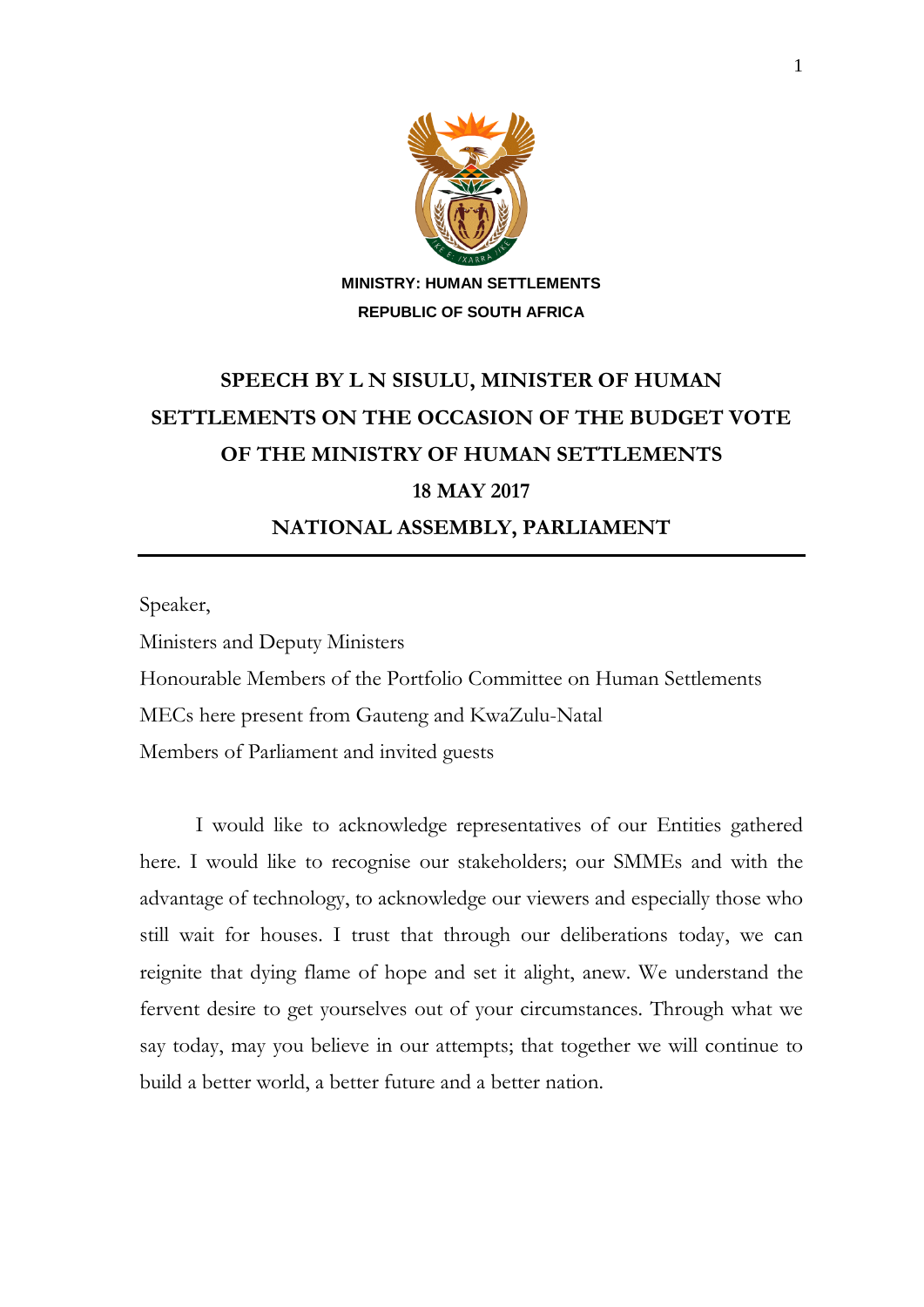

## **SPEECH BY L N SISULU, MINISTER OF HUMAN SETTLEMENTS ON THE OCCASION OF THE BUDGET VOTE OF THE MINISTRY OF HUMAN SETTLEMENTS 18 MAY 2017 NATIONAL ASSEMBLY, PARLIAMENT**

Speaker,

Ministers and Deputy Ministers

Honourable Members of the Portfolio Committee on Human Settlements

MECs here present from Gauteng and KwaZulu-Natal

Members of Parliament and invited guests

I would like to acknowledge representatives of our Entities gathered here. I would like to recognise our stakeholders; our SMMEs and with the advantage of technology, to acknowledge our viewers and especially those who still wait for houses. I trust that through our deliberations today, we can reignite that dying flame of hope and set it alight, anew. We understand the fervent desire to get yourselves out of your circumstances. Through what we say today, may you believe in our attempts; that together we will continue to build a better world, a better future and a better nation.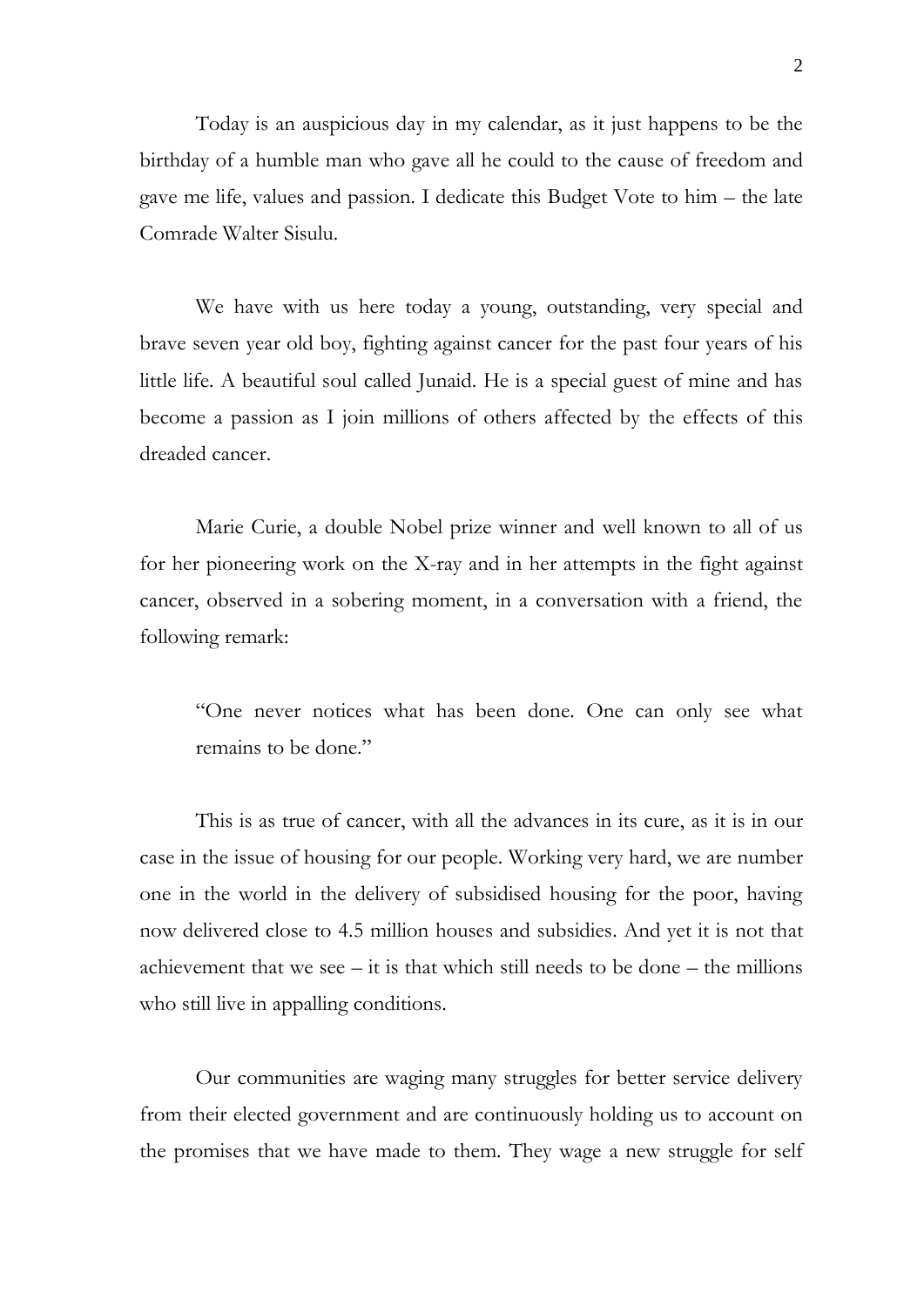Today is an auspicious day in my calendar, as it just happens to be the birthday of a humble man who gave all he could to the cause of freedom and gave me life, values and passion. I dedicate this Budget Vote to him – the late Comrade Walter Sisulu.

We have with us here today a young, outstanding, very special and brave seven year old boy, fighting against cancer for the past four years of his little life. A beautiful soul called Junaid. He is a special guest of mine and has become a passion as I join millions of others affected by the effects of this dreaded cancer.

Marie Curie, a double Nobel prize winner and well known to all of us for her pioneering work on the X-ray and in her attempts in the fight against cancer, observed in a sobering moment, in a conversation with a friend, the following remark:

"One never notices what has been done. One can only see what remains to be done."

This is as true of cancer, with all the advances in its cure, as it is in our case in the issue of housing for our people. Working very hard, we are number one in the world in the delivery of subsidised housing for the poor, having now delivered close to 4.5 million houses and subsidies. And yet it is not that achievement that we see  $-$  it is that which still needs to be done  $-$  the millions who still live in appalling conditions.

Our communities are waging many struggles for better service delivery from their elected government and are continuously holding us to account on the promises that we have made to them. They wage a new struggle for self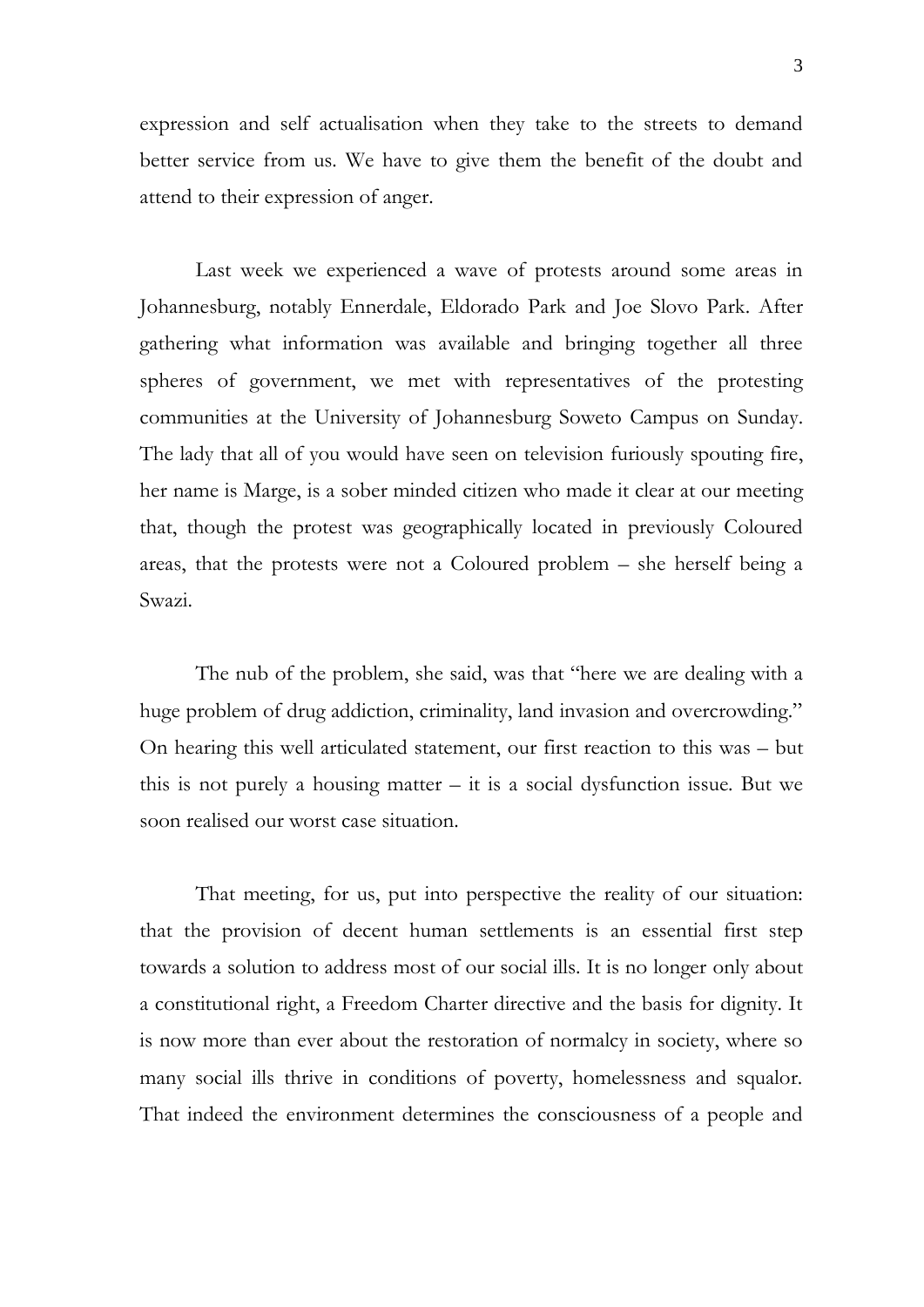expression and self actualisation when they take to the streets to demand better service from us. We have to give them the benefit of the doubt and attend to their expression of anger.

Last week we experienced a wave of protests around some areas in Johannesburg, notably Ennerdale, Eldorado Park and Joe Slovo Park. After gathering what information was available and bringing together all three spheres of government, we met with representatives of the protesting communities at the University of Johannesburg Soweto Campus on Sunday. The lady that all of you would have seen on television furiously spouting fire, her name is Marge, is a sober minded citizen who made it clear at our meeting that, though the protest was geographically located in previously Coloured areas, that the protests were not a Coloured problem – she herself being a Swazi.

The nub of the problem, she said, was that "here we are dealing with a huge problem of drug addiction, criminality, land invasion and overcrowding." On hearing this well articulated statement, our first reaction to this was – but this is not purely a housing matter  $-$  it is a social dysfunction issue. But we soon realised our worst case situation.

That meeting, for us, put into perspective the reality of our situation: that the provision of decent human settlements is an essential first step towards a solution to address most of our social ills. It is no longer only about a constitutional right, a Freedom Charter directive and the basis for dignity. It is now more than ever about the restoration of normalcy in society, where so many social ills thrive in conditions of poverty, homelessness and squalor. That indeed the environment determines the consciousness of a people and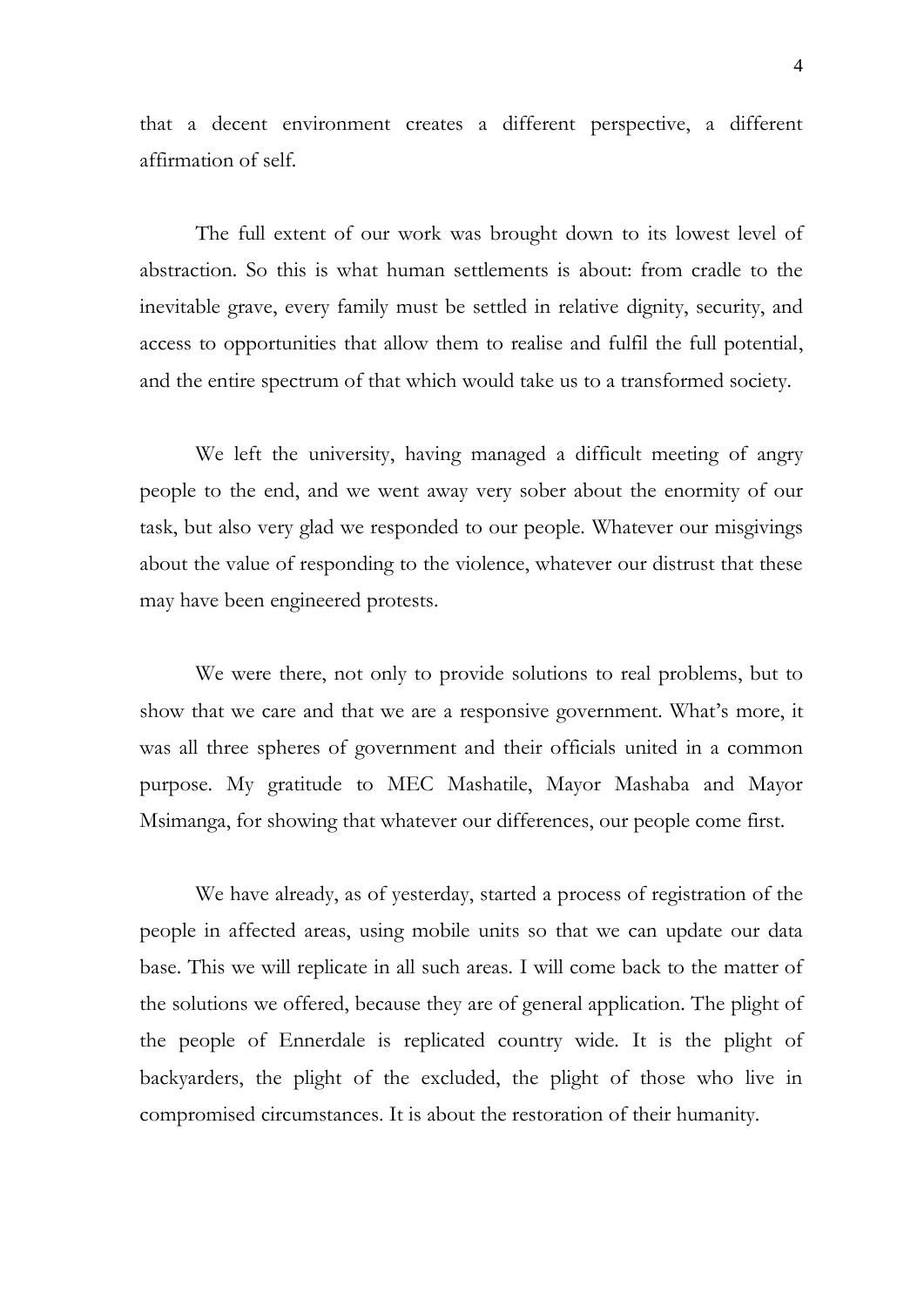that a decent environment creates a different perspective, a different affirmation of self.

The full extent of our work was brought down to its lowest level of abstraction. So this is what human settlements is about: from cradle to the inevitable grave, every family must be settled in relative dignity, security, and access to opportunities that allow them to realise and fulfil the full potential, and the entire spectrum of that which would take us to a transformed society.

We left the university, having managed a difficult meeting of angry people to the end, and we went away very sober about the enormity of our task, but also very glad we responded to our people. Whatever our misgivings about the value of responding to the violence, whatever our distrust that these may have been engineered protests.

We were there, not only to provide solutions to real problems, but to show that we care and that we are a responsive government. What's more, it was all three spheres of government and their officials united in a common purpose. My gratitude to MEC Mashatile, Mayor Mashaba and Mayor Msimanga, for showing that whatever our differences, our people come first.

We have already, as of yesterday, started a process of registration of the people in affected areas, using mobile units so that we can update our data base. This we will replicate in all such areas. I will come back to the matter of the solutions we offered, because they are of general application. The plight of the people of Ennerdale is replicated country wide. It is the plight of backyarders, the plight of the excluded, the plight of those who live in compromised circumstances. It is about the restoration of their humanity.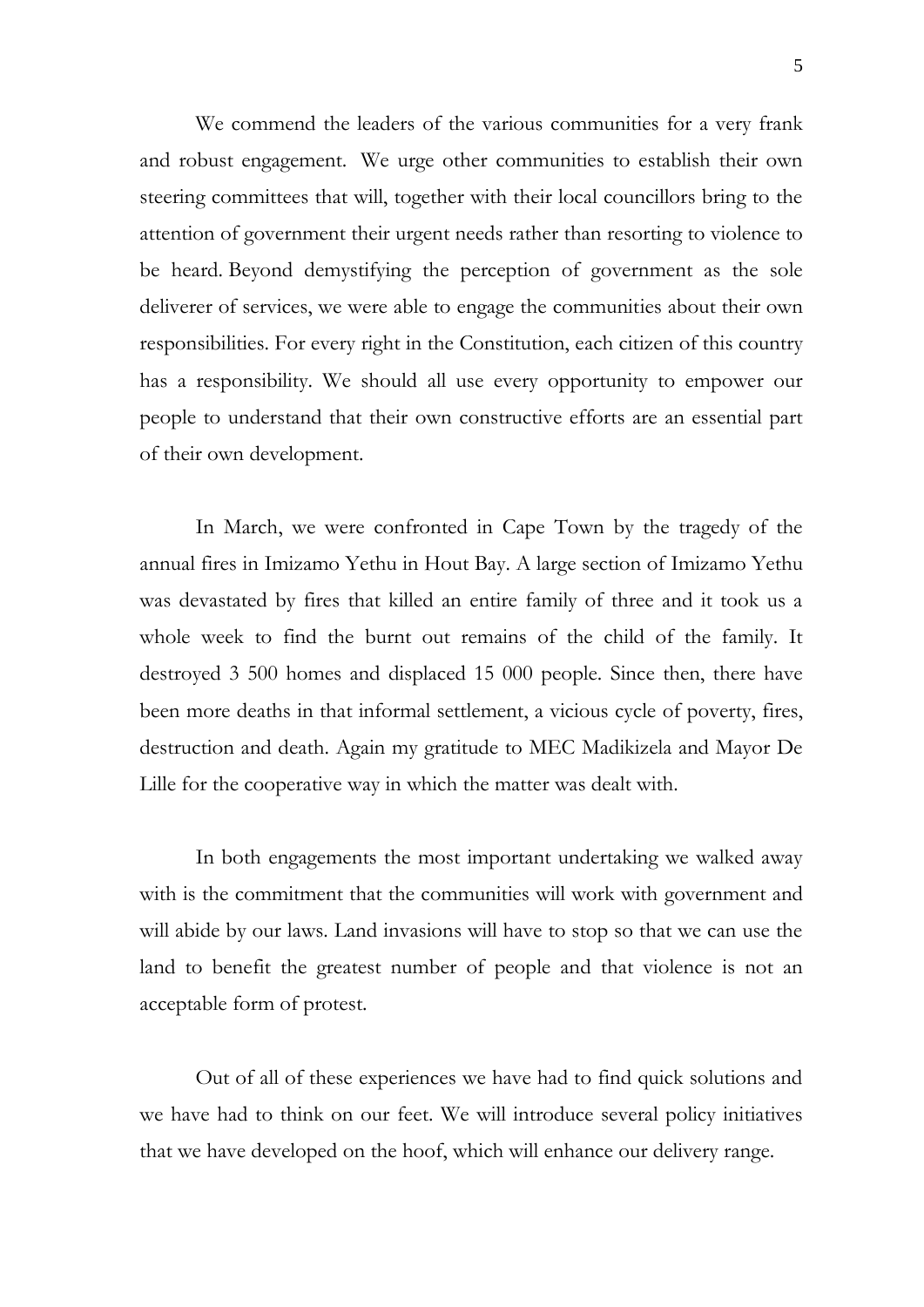We commend the leaders of the various communities for a very frank and robust engagement. We urge other communities to establish their own steering committees that will, together with their local councillors bring to the attention of government their urgent needs rather than resorting to violence to be heard. Beyond demystifying the perception of government as the sole deliverer of services, we were able to engage the communities about their own responsibilities. For every right in the Constitution, each citizen of this country has a responsibility. We should all use every opportunity to empower our people to understand that their own constructive efforts are an essential part of their own development.

In March, we were confronted in Cape Town by the tragedy of the annual fires in Imizamo Yethu in Hout Bay. A large section of Imizamo Yethu was devastated by fires that killed an entire family of three and it took us a whole week to find the burnt out remains of the child of the family. It destroyed 3 500 homes and displaced 15 000 people. Since then, there have been more deaths in that informal settlement, a vicious cycle of poverty, fires, destruction and death. Again my gratitude to MEC Madikizela and Mayor De Lille for the cooperative way in which the matter was dealt with.

In both engagements the most important undertaking we walked away with is the commitment that the communities will work with government and will abide by our laws. Land invasions will have to stop so that we can use the land to benefit the greatest number of people and that violence is not an acceptable form of protest.

Out of all of these experiences we have had to find quick solutions and we have had to think on our feet. We will introduce several policy initiatives that we have developed on the hoof, which will enhance our delivery range.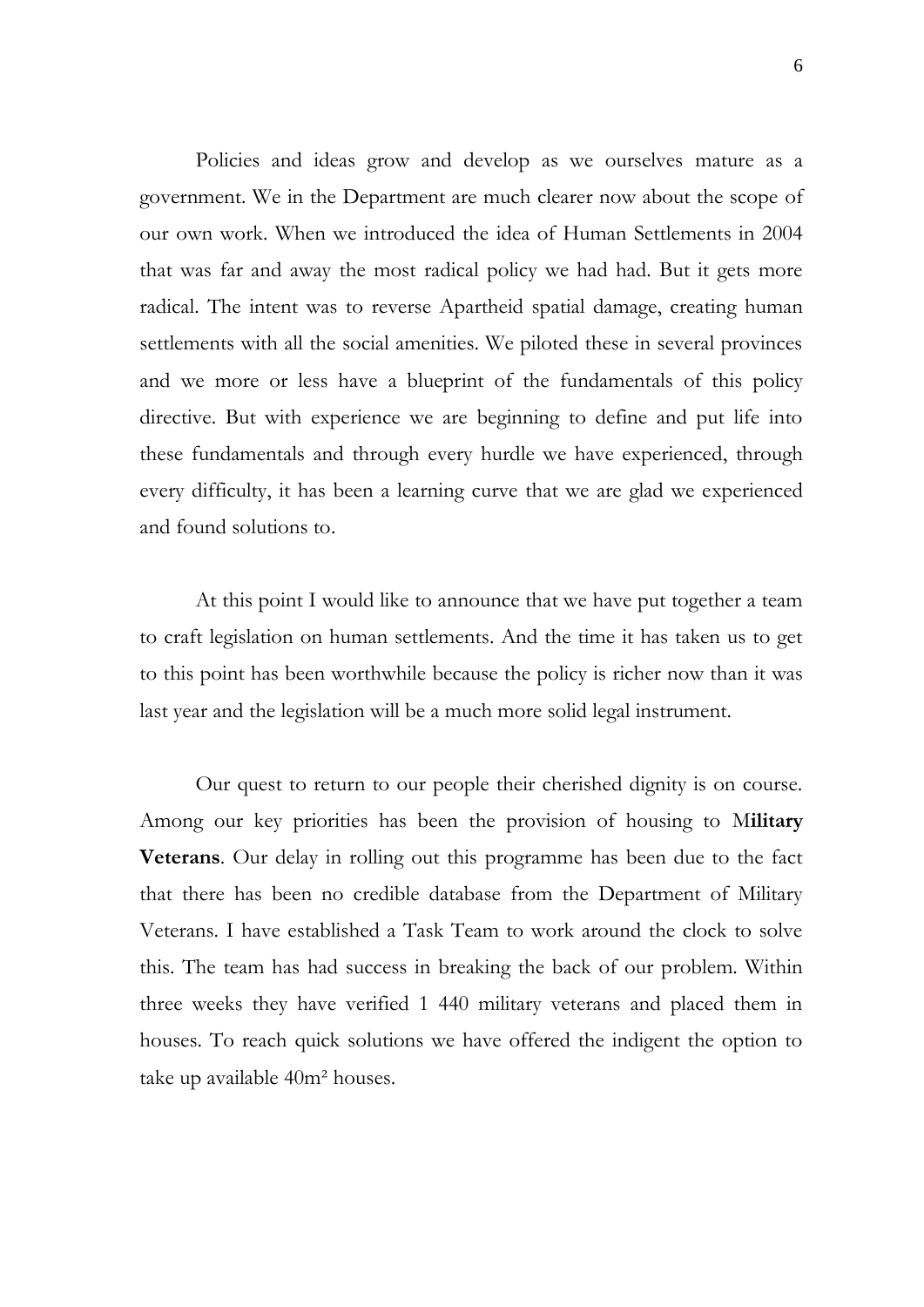Policies and ideas grow and develop as we ourselves mature as a government. We in the Department are much clearer now about the scope of our own work. When we introduced the idea of Human Settlements in 2004 that was far and away the most radical policy we had had. But it gets more radical. The intent was to reverse Apartheid spatial damage, creating human settlements with all the social amenities. We piloted these in several provinces and we more or less have a blueprint of the fundamentals of this policy directive. But with experience we are beginning to define and put life into these fundamentals and through every hurdle we have experienced, through every difficulty, it has been a learning curve that we are glad we experienced and found solutions to.

At this point I would like to announce that we have put together a team to craft legislation on human settlements. And the time it has taken us to get to this point has been worthwhile because the policy is richer now than it was last year and the legislation will be a much more solid legal instrument.

Our quest to return to our people their cherished dignity is on course. Among our key priorities has been the provision of housing to M**ilitary Veterans**. Our delay in rolling out this programme has been due to the fact that there has been no credible database from the Department of Military Veterans. I have established a Task Team to work around the clock to solve this. The team has had success in breaking the back of our problem. Within three weeks they have verified 1 440 military veterans and placed them in houses. To reach quick solutions we have offered the indigent the option to take up available 40m² houses.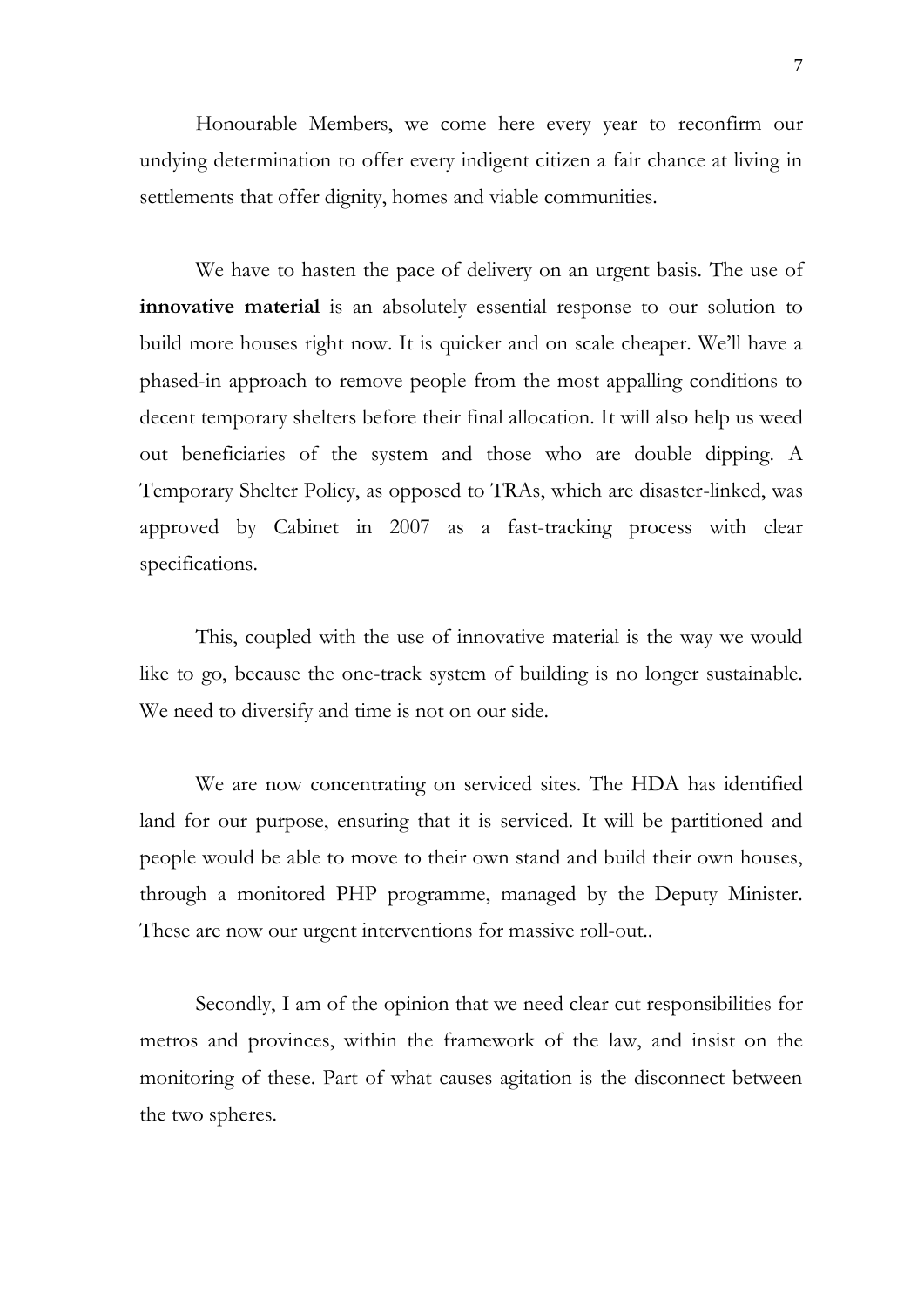Honourable Members, we come here every year to reconfirm our undying determination to offer every indigent citizen a fair chance at living in settlements that offer dignity, homes and viable communities.

We have to hasten the pace of delivery on an urgent basis. The use of **innovative material** is an absolutely essential response to our solution to build more houses right now. It is quicker and on scale cheaper. We'll have a phased-in approach to remove people from the most appalling conditions to decent temporary shelters before their final allocation. It will also help us weed out beneficiaries of the system and those who are double dipping. A Temporary Shelter Policy, as opposed to TRAs, which are disaster-linked, was approved by Cabinet in 2007 as a fast-tracking process with clear specifications.

This, coupled with the use of innovative material is the way we would like to go, because the one-track system of building is no longer sustainable. We need to diversify and time is not on our side.

We are now concentrating on serviced sites. The HDA has identified land for our purpose, ensuring that it is serviced. It will be partitioned and people would be able to move to their own stand and build their own houses, through a monitored PHP programme, managed by the Deputy Minister. These are now our urgent interventions for massive roll-out..

Secondly, I am of the opinion that we need clear cut responsibilities for metros and provinces, within the framework of the law, and insist on the monitoring of these. Part of what causes agitation is the disconnect between the two spheres.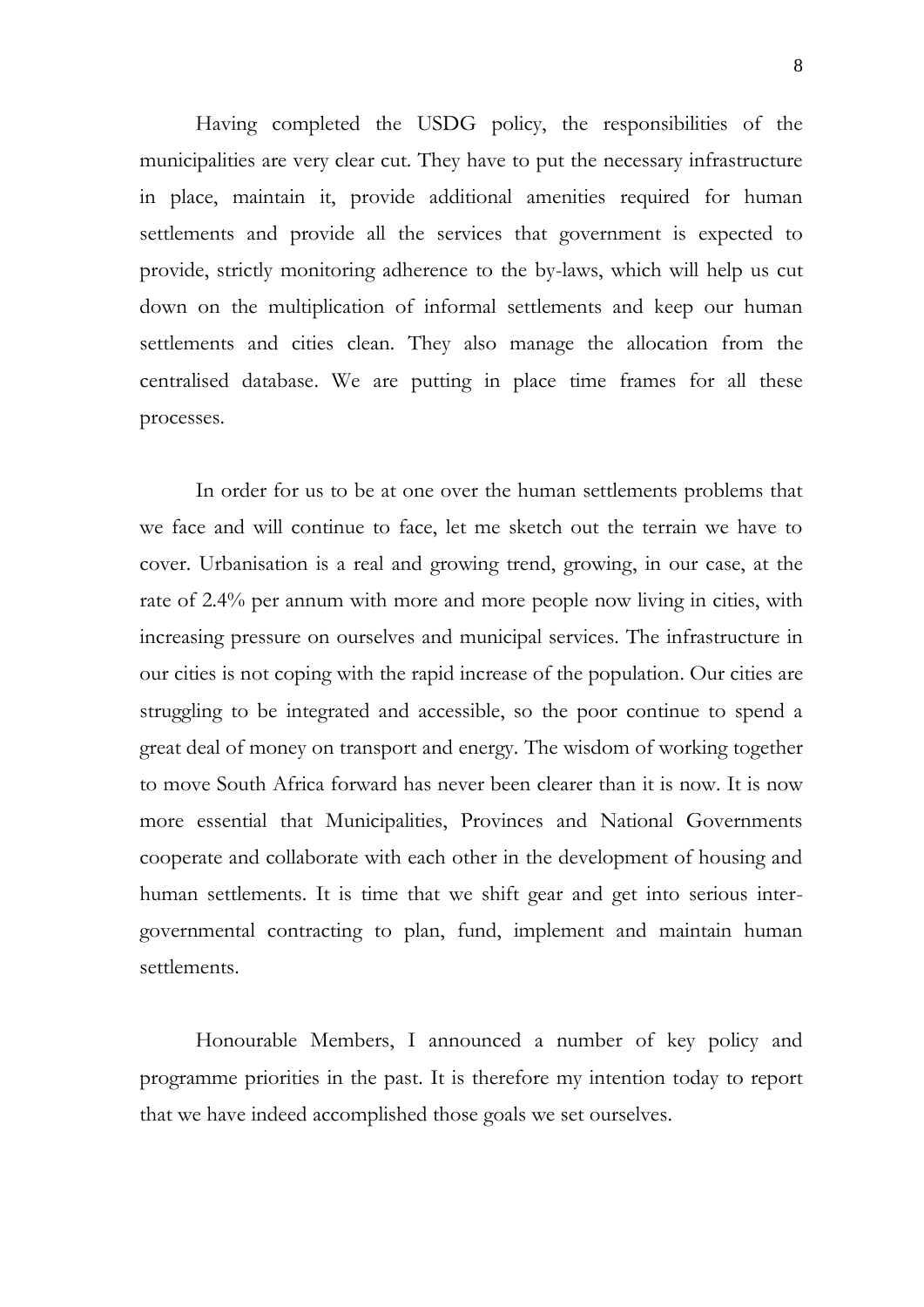Having completed the USDG policy, the responsibilities of the municipalities are very clear cut. They have to put the necessary infrastructure in place, maintain it, provide additional amenities required for human settlements and provide all the services that government is expected to provide, strictly monitoring adherence to the by-laws, which will help us cut down on the multiplication of informal settlements and keep our human settlements and cities clean. They also manage the allocation from the centralised database. We are putting in place time frames for all these processes.

In order for us to be at one over the human settlements problems that we face and will continue to face, let me sketch out the terrain we have to cover. Urbanisation is a real and growing trend, growing, in our case, at the rate of 2.4% per annum with more and more people now living in cities, with increasing pressure on ourselves and municipal services. The infrastructure in our cities is not coping with the rapid increase of the population. Our cities are struggling to be integrated and accessible, so the poor continue to spend a great deal of money on transport and energy. The wisdom of working together to move South Africa forward has never been clearer than it is now. It is now more essential that Municipalities, Provinces and National Governments cooperate and collaborate with each other in the development of housing and human settlements. It is time that we shift gear and get into serious intergovernmental contracting to plan, fund, implement and maintain human settlements.

Honourable Members, I announced a number of key policy and programme priorities in the past. It is therefore my intention today to report that we have indeed accomplished those goals we set ourselves.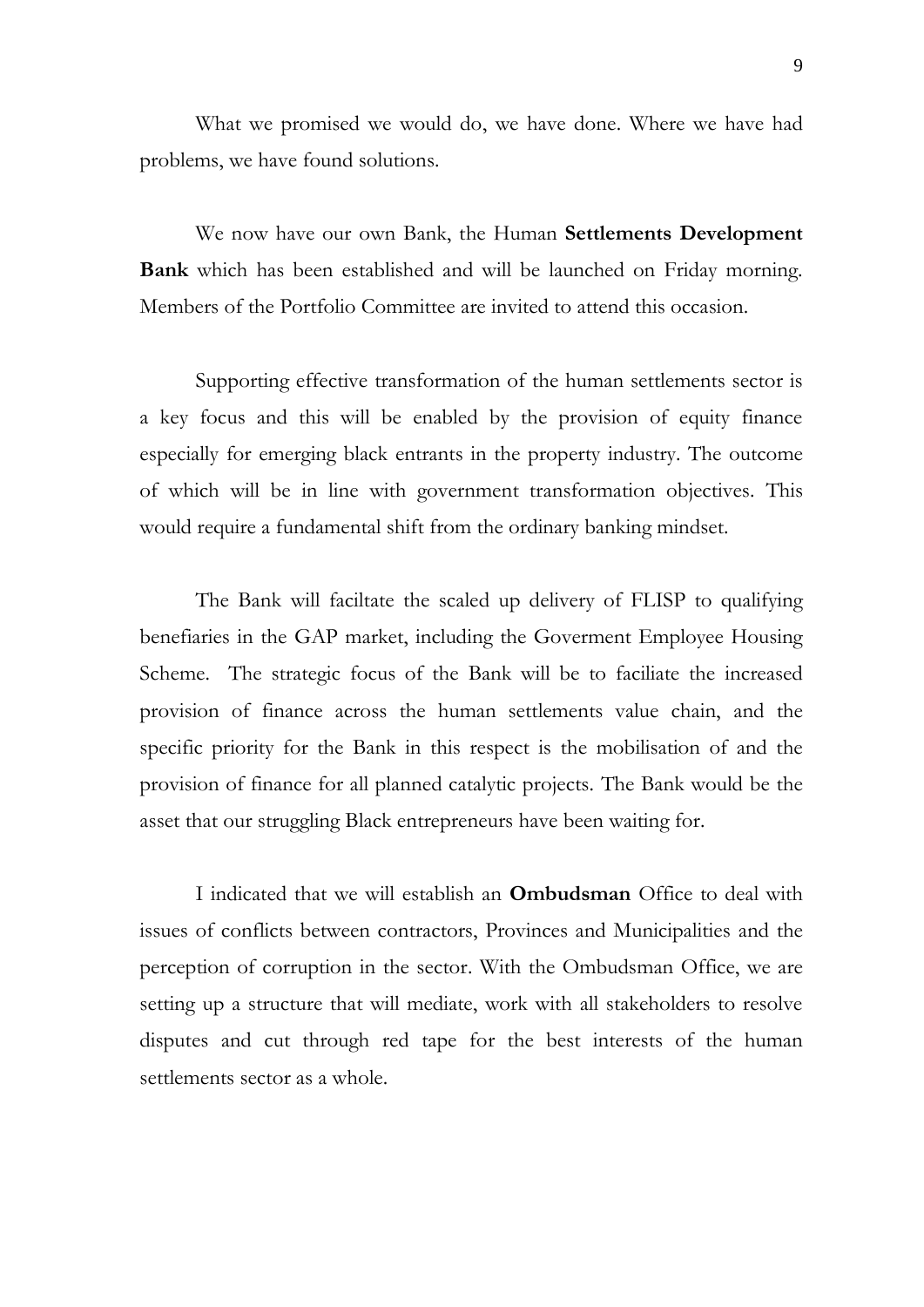What we promised we would do, we have done. Where we have had problems, we have found solutions.

We now have our own Bank, the Human **Settlements Development Bank** which has been established and will be launched on Friday morning. Members of the Portfolio Committee are invited to attend this occasion.

Supporting effective transformation of the human settlements sector is a key focus and this will be enabled by the provision of equity finance especially for emerging black entrants in the property industry. The outcome of which will be in line with government transformation objectives. This would require a fundamental shift from the ordinary banking mindset.

The Bank will faciltate the scaled up delivery of FLISP to qualifying benefiaries in the GAP market, including the Goverment Employee Housing Scheme. The strategic focus of the Bank will be to faciliate the increased provision of finance across the human settlements value chain, and the specific priority for the Bank in this respect is the mobilisation of and the provision of finance for all planned catalytic projects. The Bank would be the asset that our struggling Black entrepreneurs have been waiting for.

I indicated that we will establish an **Ombudsman** Office to deal with issues of conflicts between contractors, Provinces and Municipalities and the perception of corruption in the sector. With the Ombudsman Office, we are setting up a structure that will mediate, work with all stakeholders to resolve disputes and cut through red tape for the best interests of the human settlements sector as a whole.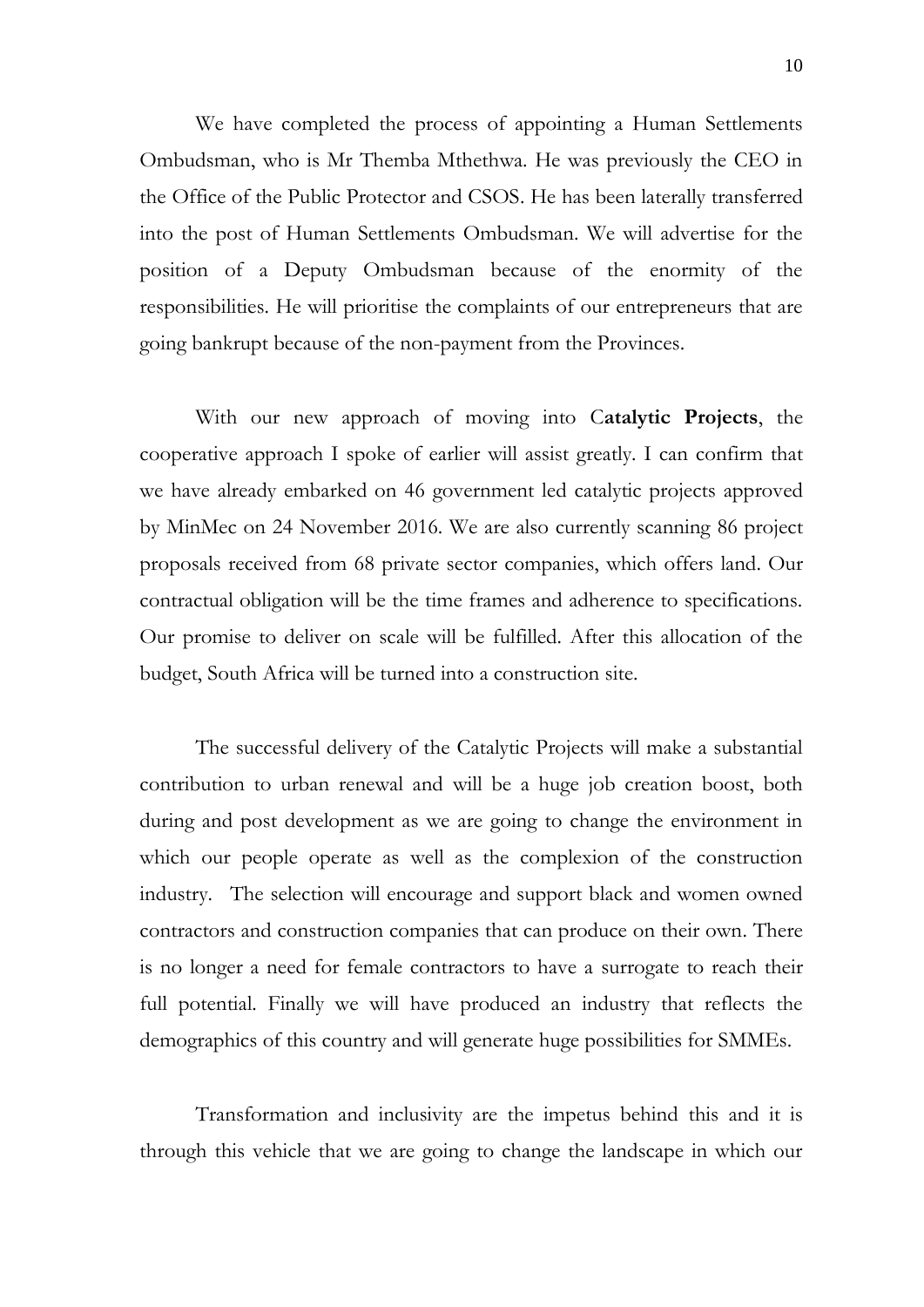We have completed the process of appointing a Human Settlements Ombudsman, who is Mr Themba Mthethwa. He was previously the CEO in the Office of the Public Protector and CSOS. He has been laterally transferred into the post of Human Settlements Ombudsman. We will advertise for the position of a Deputy Ombudsman because of the enormity of the responsibilities. He will prioritise the complaints of our entrepreneurs that are going bankrupt because of the non-payment from the Provinces.

With our new approach of moving into C**atalytic Projects**, the cooperative approach I spoke of earlier will assist greatly. I can confirm that we have already embarked on 46 government led catalytic projects approved by MinMec on 24 November 2016. We are also currently scanning 86 project proposals received from 68 private sector companies, which offers land. Our contractual obligation will be the time frames and adherence to specifications. Our promise to deliver on scale will be fulfilled. After this allocation of the budget, South Africa will be turned into a construction site.

The successful delivery of the Catalytic Projects will make a substantial contribution to urban renewal and will be a huge job creation boost, both during and post development as we are going to change the environment in which our people operate as well as the complexion of the construction industry. The selection will encourage and support black and women owned contractors and construction companies that can produce on their own. There is no longer a need for female contractors to have a surrogate to reach their full potential. Finally we will have produced an industry that reflects the demographics of this country and will generate huge possibilities for SMMEs.

Transformation and inclusivity are the impetus behind this and it is through this vehicle that we are going to change the landscape in which our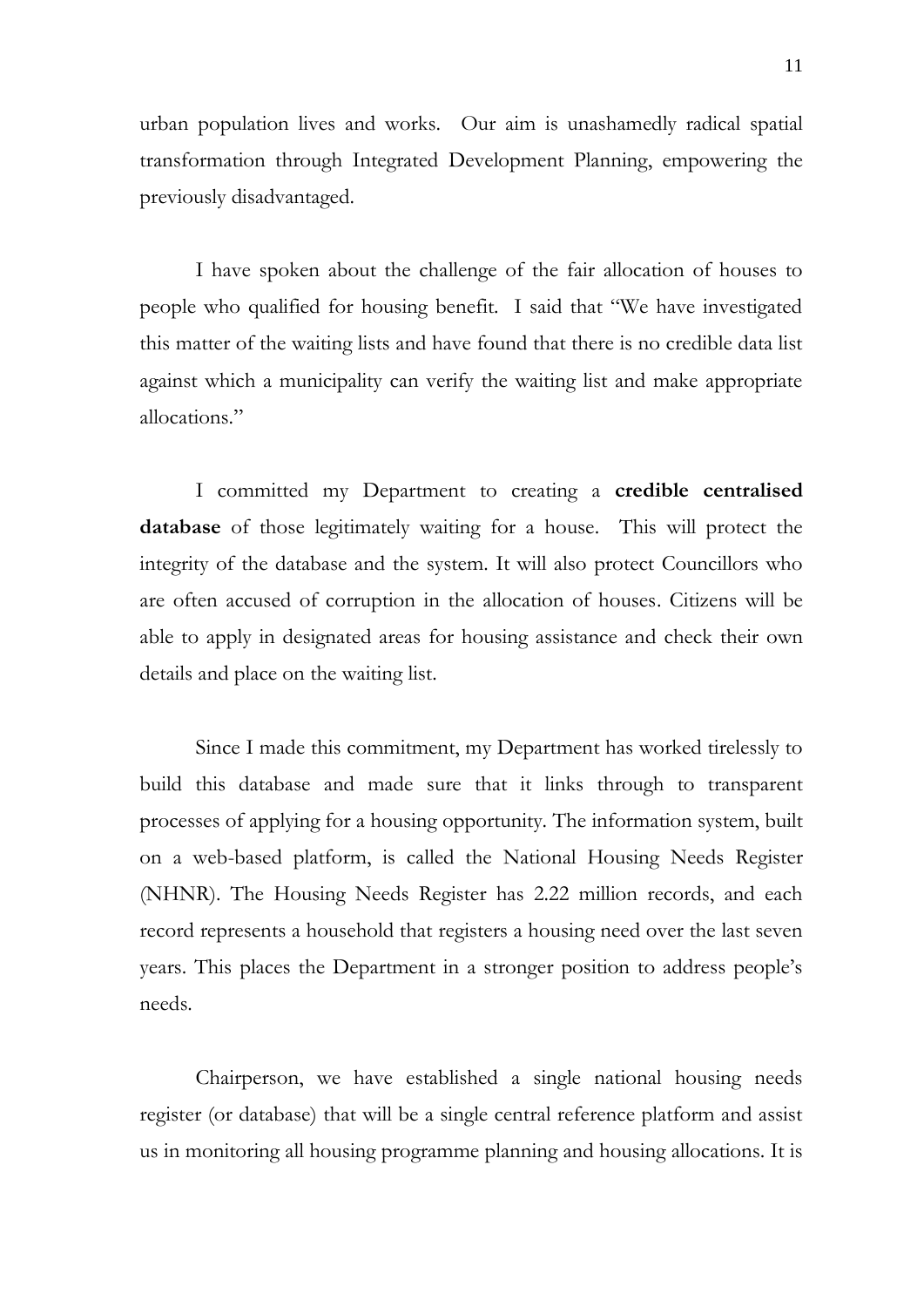urban population lives and works. Our aim is unashamedly radical spatial transformation through Integrated Development Planning, empowering the previously disadvantaged.

I have spoken about the challenge of the fair allocation of houses to people who qualified for housing benefit. I said that "We have investigated this matter of the waiting lists and have found that there is no credible data list against which a municipality can verify the waiting list and make appropriate allocations."

I committed my Department to creating a **credible centralised database** of those legitimately waiting for a house. This will protect the integrity of the database and the system. It will also protect Councillors who are often accused of corruption in the allocation of houses. Citizens will be able to apply in designated areas for housing assistance and check their own details and place on the waiting list.

Since I made this commitment, my Department has worked tirelessly to build this database and made sure that it links through to transparent processes of applying for a housing opportunity. The information system, built on a web-based platform, is called the National Housing Needs Register (NHNR). The Housing Needs Register has 2.22 million records, and each record represents a household that registers a housing need over the last seven years. This places the Department in a stronger position to address people's needs.

Chairperson, we have established a single national housing needs register (or database) that will be a single central reference platform and assist us in monitoring all housing programme planning and housing allocations. It is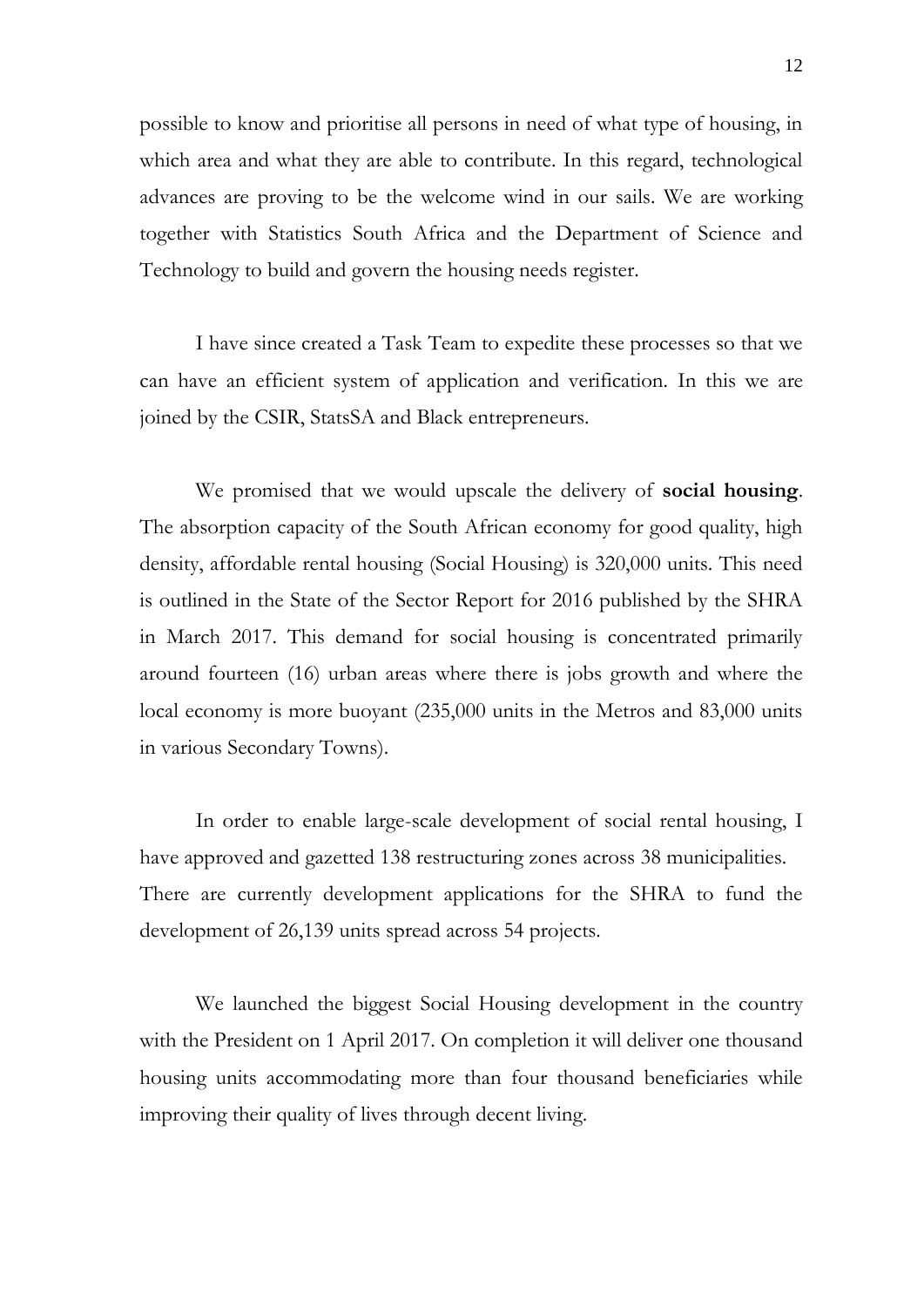possible to know and prioritise all persons in need of what type of housing, in which area and what they are able to contribute. In this regard, technological advances are proving to be the welcome wind in our sails. We are working together with Statistics South Africa and the Department of Science and Technology to build and govern the housing needs register.

I have since created a Task Team to expedite these processes so that we can have an efficient system of application and verification. In this we are joined by the CSIR, StatsSA and Black entrepreneurs.

We promised that we would upscale the delivery of **social housing**. The absorption capacity of the South African economy for good quality, high density, affordable rental housing (Social Housing) is 320,000 units. This need is outlined in the State of the Sector Report for 2016 published by the SHRA in March 2017. This demand for social housing is concentrated primarily around fourteen (16) urban areas where there is jobs growth and where the local economy is more buoyant (235,000 units in the Metros and 83,000 units in various Secondary Towns).

In order to enable large-scale development of social rental housing, I have approved and gazetted 138 restructuring zones across 38 municipalities. There are currently development applications for the SHRA to fund the development of 26,139 units spread across 54 projects.

We launched the biggest Social Housing development in the country with the President on 1 April 2017. On completion it will deliver one thousand housing units accommodating more than four thousand beneficiaries while improving their quality of lives through decent living.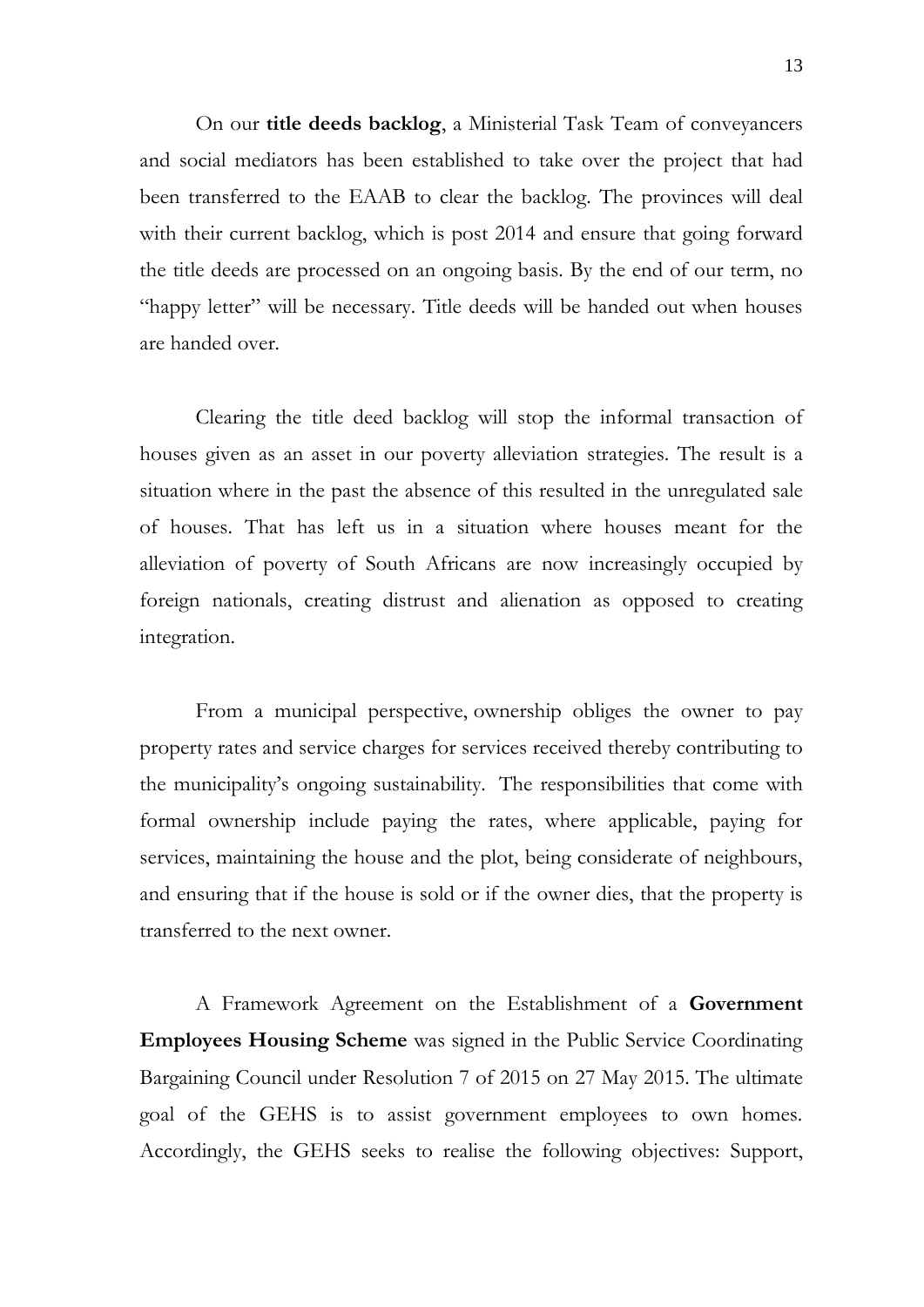On our **title deeds backlog**, a Ministerial Task Team of conveyancers and social mediators has been established to take over the project that had been transferred to the EAAB to clear the backlog. The provinces will deal with their current backlog, which is post 2014 and ensure that going forward the title deeds are processed on an ongoing basis. By the end of our term, no "happy letter" will be necessary. Title deeds will be handed out when houses are handed over.

Clearing the title deed backlog will stop the informal transaction of houses given as an asset in our poverty alleviation strategies. The result is a situation where in the past the absence of this resulted in the unregulated sale of houses. That has left us in a situation where houses meant for the alleviation of poverty of South Africans are now increasingly occupied by foreign nationals, creating distrust and alienation as opposed to creating integration.

From a municipal perspective, ownership obliges the owner to pay property rates and service charges for services received thereby contributing to the municipality's ongoing sustainability. The responsibilities that come with formal ownership include paying the rates, where applicable, paying for services, maintaining the house and the plot, being considerate of neighbours, and ensuring that if the house is sold or if the owner dies, that the property is transferred to the next owner.

A Framework Agreement on the Establishment of a **Government Employees Housing Scheme** was signed in the Public Service Coordinating Bargaining Council under Resolution 7 of 2015 on 27 May 2015. The ultimate goal of the GEHS is to assist government employees to own homes. Accordingly, the GEHS seeks to realise the following objectives: Support,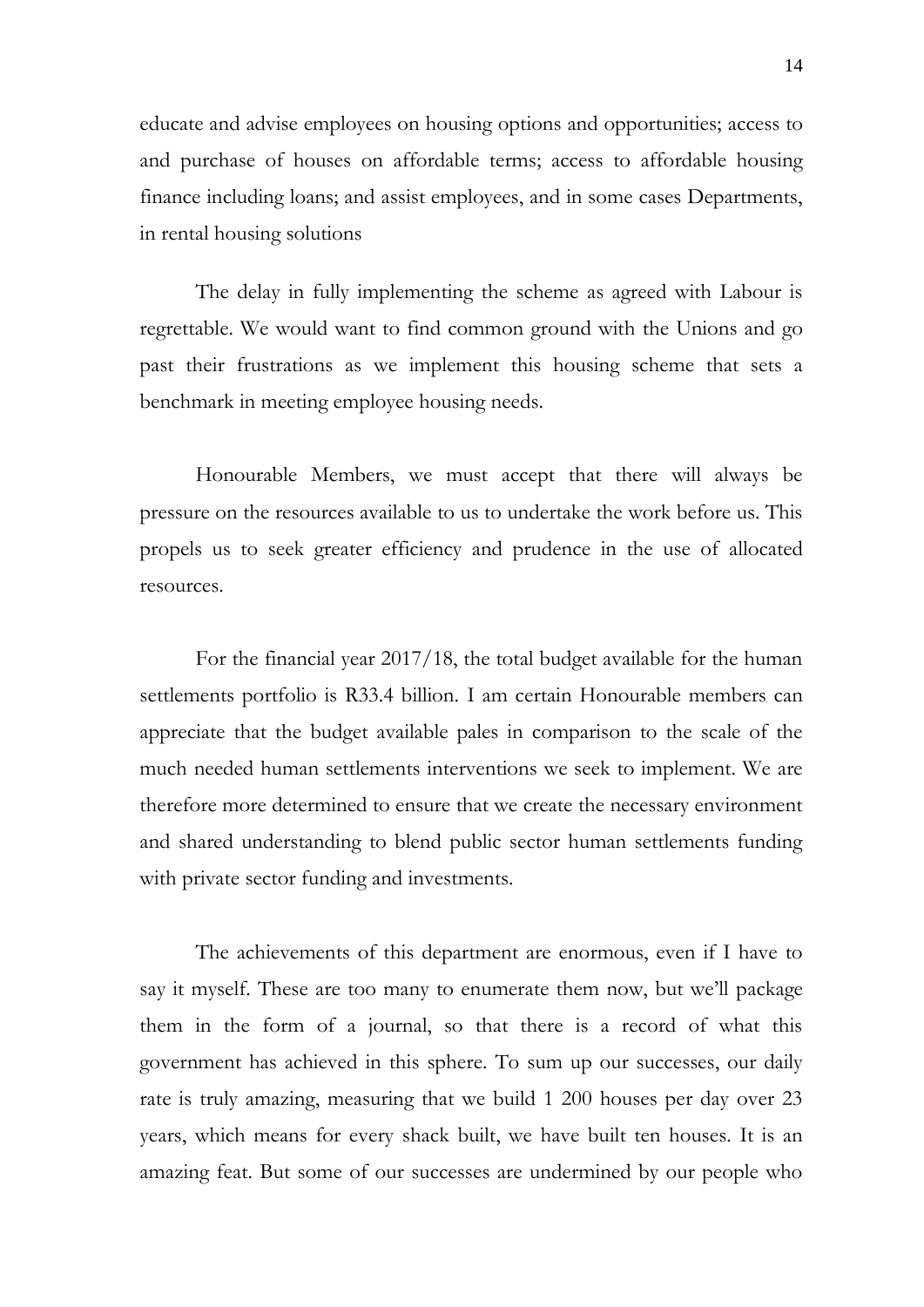educate and advise employees on housing options and opportunities; access to and purchase of houses on affordable terms; access to affordable housing finance including loans; and assist employees, and in some cases Departments, in rental housing solutions

The delay in fully implementing the scheme as agreed with Labour is regrettable. We would want to find common ground with the Unions and go past their frustrations as we implement this housing scheme that sets a benchmark in meeting employee housing needs.

Honourable Members, we must accept that there will always be pressure on the resources available to us to undertake the work before us. This propels us to seek greater efficiency and prudence in the use of allocated resources.

For the financial year 2017/18, the total budget available for the human settlements portfolio is R33.4 billion. I am certain Honourable members can appreciate that the budget available pales in comparison to the scale of the much needed human settlements interventions we seek to implement. We are therefore more determined to ensure that we create the necessary environment and shared understanding to blend public sector human settlements funding with private sector funding and investments.

The achievements of this department are enormous, even if I have to say it myself. These are too many to enumerate them now, but we'll package them in the form of a journal, so that there is a record of what this government has achieved in this sphere. To sum up our successes, our daily rate is truly amazing, measuring that we build 1 200 houses per day over 23 years, which means for every shack built, we have built ten houses. It is an amazing feat. But some of our successes are undermined by our people who